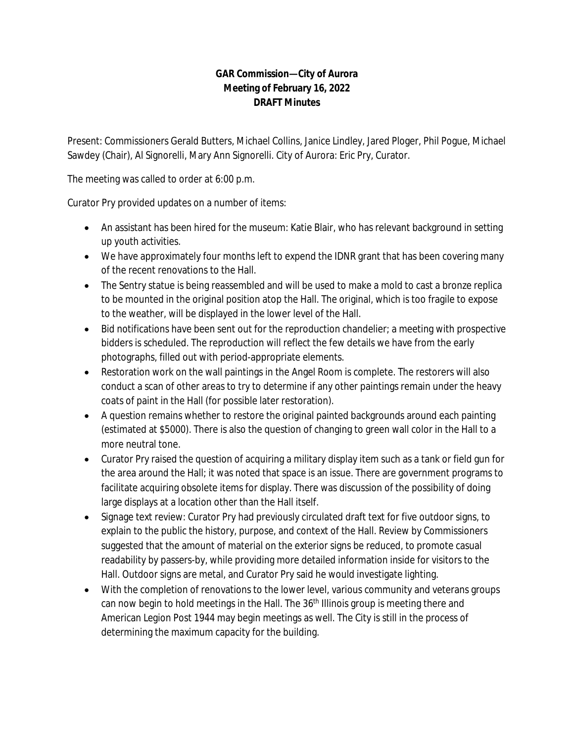## **GAR Commission—City of Aurora Meeting of February 16, 2022 DRAFT Minutes**

Present: Commissioners Gerald Butters, Michael Collins, Janice Lindley, Jared Ploger, Phil Pogue, Michael Sawdey (Chair), Al Signorelli, Mary Ann Signorelli. City of Aurora: Eric Pry, Curator.

The meeting was called to order at 6:00 p.m.

Curator Pry provided updates on a number of items:

- An assistant has been hired for the museum: Katie Blair, who has relevant background in setting up youth activities.
- We have approximately four months left to expend the IDNR grant that has been covering many of the recent renovations to the Hall.
- The Sentry statue is being reassembled and will be used to make a mold to cast a bronze replica to be mounted in the original position atop the Hall. The original, which is too fragile to expose to the weather, will be displayed in the lower level of the Hall.
- Bid notifications have been sent out for the reproduction chandelier; a meeting with prospective bidders is scheduled. The reproduction will reflect the few details we have from the early photographs, filled out with period-appropriate elements.
- Restoration work on the wall paintings in the Angel Room is complete. The restorers will also conduct a scan of other areas to try to determine if any other paintings remain under the heavy coats of paint in the Hall (for possible later restoration).
- A question remains whether to restore the original painted backgrounds around each painting (estimated at \$5000). There is also the question of changing to green wall color in the Hall to a more neutral tone.
- Curator Pry raised the question of acquiring a military display item such as a tank or field gun for the area around the Hall; it was noted that space is an issue. There are government programs to facilitate acquiring obsolete items for display. There was discussion of the possibility of doing large displays at a location other than the Hall itself.
- Signage text review: Curator Pry had previously circulated draft text for five outdoor signs, to explain to the public the history, purpose, and context of the Hall. Review by Commissioners suggested that the amount of material on the exterior signs be reduced, to promote casual readability by passers-by, while providing more detailed information inside for visitors to the Hall. Outdoor signs are metal, and Curator Pry said he would investigate lighting.
- With the completion of renovations to the lower level, various community and veterans groups can now begin to hold meetings in the Hall. The 36<sup>th</sup> Illinois group is meeting there and American Legion Post 1944 may begin meetings as well. The City is still in the process of determining the maximum capacity for the building.